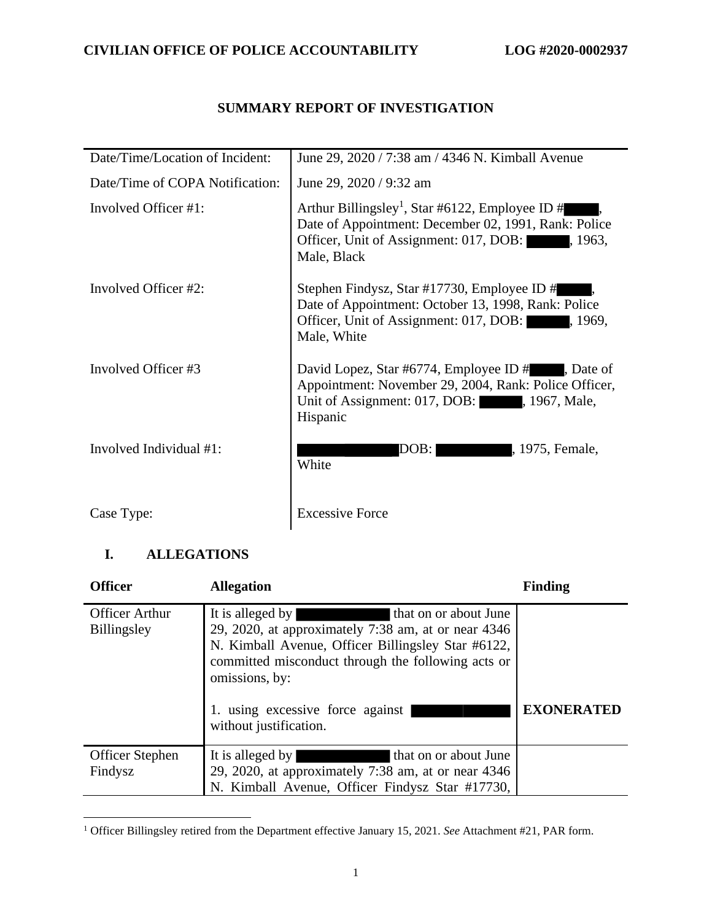## **SUMMARY REPORT OF INVESTIGATION**

| Date/Time/Location of Incident: | June 29, 2020 / 7:38 am / 4346 N. Kimball Avenue                                                                                                                                        |
|---------------------------------|-----------------------------------------------------------------------------------------------------------------------------------------------------------------------------------------|
| Date/Time of COPA Notification: | June 29, 2020 / 9:32 am                                                                                                                                                                 |
| Involved Officer #1:            | Arthur Billingsley <sup>1</sup> , Star #6122, Employee ID #<br>Date of Appointment: December 02, 1991, Rank: Police<br>Officer, Unit of Assignment: 017, DOB:<br>. 1963.<br>Male, Black |
| Involved Officer #2:            | Stephen Findysz, Star #17730, Employee ID #<br>Date of Appointment: October 13, 1998, Rank: Police<br>Officer, Unit of Assignment: 017, DOB:<br>, 1969,<br>Male, White                  |
| Involved Officer #3             | David Lopez, Star #6774, Employee ID #, Date of<br>Appointment: November 29, 2004, Rank: Police Officer,<br>Unit of Assignment: 017, DOB: , 1967, Male,<br>Hispanic                     |
| Involved Individual #1:         | 1975, Female,<br>DOB: I<br>White                                                                                                                                                        |
| Case Type:                      | <b>Excessive Force</b>                                                                                                                                                                  |

## **I. ALLEGATIONS**

| <b>Officer</b>                              | <b>Allegation</b>                                                                                                                                                                                                                                                                                | <b>Finding</b>    |
|---------------------------------------------|--------------------------------------------------------------------------------------------------------------------------------------------------------------------------------------------------------------------------------------------------------------------------------------------------|-------------------|
| <b>Officer Arthur</b><br><b>Billingsley</b> | It is alleged by<br>that on or about June<br>29, 2020, at approximately $7:38$ am, at or near $4346$<br>N. Kimball Avenue, Officer Billingsley Star #6122,<br>committed misconduct through the following acts or<br>omissions, by:<br>1. using excessive force against<br>without justification. | <b>EXONERATED</b> |
| <b>Officer Stephen</b>                      | It is alleged by<br>that on or about June                                                                                                                                                                                                                                                        |                   |
| Findysz                                     | 29, 2020, at approximately 7:38 am, at or near 4346                                                                                                                                                                                                                                              |                   |
|                                             | N. Kimball Avenue, Officer Findysz Star #17730,                                                                                                                                                                                                                                                  |                   |

<sup>1</sup> Officer Billingsley retired from the Department effective January 15, 2021. *See* Attachment #21, PAR form.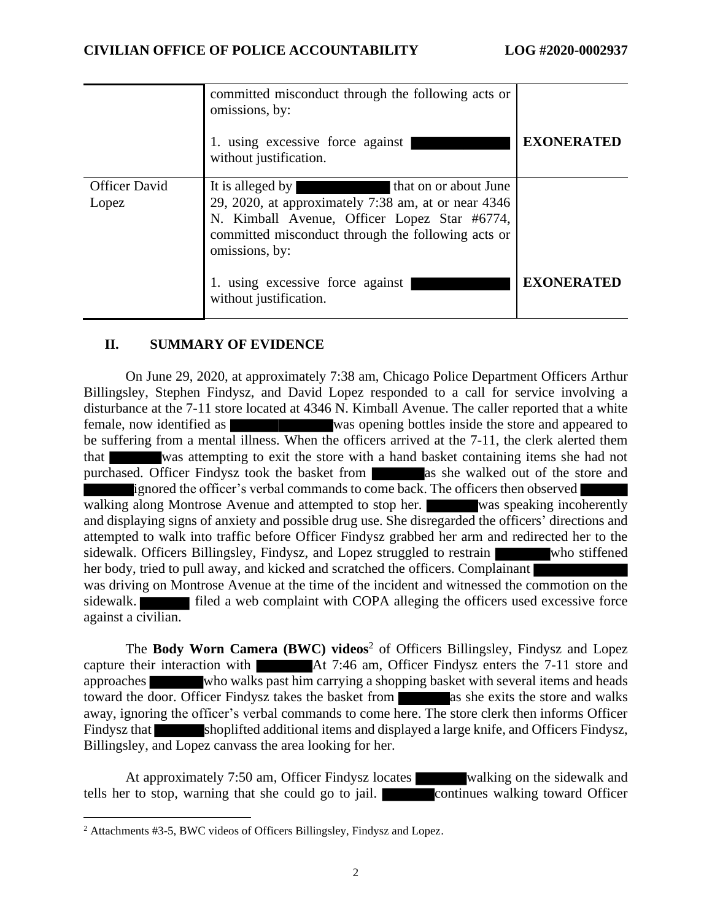|                               | committed misconduct through the following acts or<br>omissions, by:<br>1. using excessive force against<br>without justification.                                                                                                                                                     | <b>EXONERATED</b> |
|-------------------------------|----------------------------------------------------------------------------------------------------------------------------------------------------------------------------------------------------------------------------------------------------------------------------------------|-------------------|
| <b>Officer David</b><br>Lopez | that on or about June<br>It is alleged by<br>29, 2020, at approximately 7:38 am, at or near 4346<br>N. Kimball Avenue, Officer Lopez Star #6774,<br>committed misconduct through the following acts or<br>omissions, by:<br>1. using excessive force against<br>without justification. | <b>EXONERATED</b> |

### **II. SUMMARY OF EVIDENCE**

On June 29, 2020, at approximately 7:38 am, Chicago Police Department Officers Arthur Billingsley, Stephen Findysz, and David Lopez responded to a call for service involving a disturbance at the 7-11 store located at 4346 N. Kimball Avenue. The caller reported that a white female, now identified as was opening bottles inside the store and appeared to be suffering from a mental illness. When the officers arrived at the 7-11, the clerk alerted them that was attempting to exit the store with a hand basket containing items she had not purchased. Officer Findysz took the basket from as she walked out of the store and ignored the officer's verbal commands to come back. The officers then observed walking along Montrose Avenue and attempted to stop her. was speaking incoherently and displaying signs of anxiety and possible drug use. She disregarded the officers' directions and attempted to walk into traffic before Officer Findysz grabbed her arm and redirected her to the sidewalk. Officers Billingsley, Findysz, and Lopez struggled to restrain who stiffened her body, tried to pull away, and kicked and scratched the officers. Complainant was driving on Montrose Avenue at the time of the incident and witnessed the commotion on the sidewalk. **Filled** a web complaint with COPA alleging the officers used excessive force against a civilian.

The **Body Worn Camera (BWC) videos**<sup>2</sup> of Officers Billingsley, Findysz and Lopez capture their interaction with At 7:46 am, Officer Findysz enters the 7-11 store and approaches who walks past him carrying a shopping basket with several items and heads toward the door. Officer Findysz takes the basket from as she exits the store and walks away, ignoring the officer's verbal commands to come here. The store clerk then informs Officer Findysz that shoplifted additional items and displayed a large knife, and Officers Findysz, Billingsley, and Lopez canvass the area looking for her.

At approximately 7:50 am, Officer Findysz locates walking on the sidewalk and tells her to stop, warning that she could go to jail. **Continues** walking toward Officer

<sup>2</sup> Attachments #3-5, BWC videos of Officers Billingsley, Findysz and Lopez.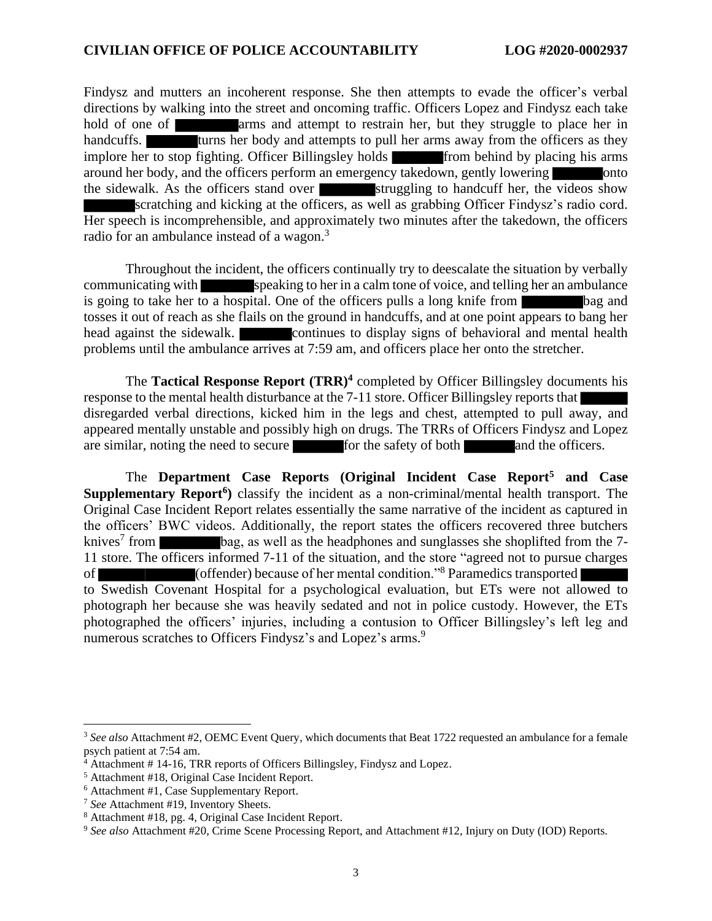Findysz and mutters an incoherent response. She then attempts to evade the officer's verbal directions by walking into the street and oncoming traffic. Officers Lopez and Findysz each take hold of one of arms and attempt to restrain her, but they struggle to place her in handcuffs. **turns** her body and attempts to pull her arms away from the officers as they implore her to stop fighting. Officer Billingsley holds from behind by placing his arms around her body, and the officers perform an emergency takedown, gently lowering onto the sidewalk. As the officers stand over struggling to handcuff her, the videos show scratching and kicking at the officers, as well as grabbing Officer Findysz's radio cord. Her speech is incomprehensible, and approximately two minutes after the takedown, the officers radio for an ambulance instead of a wagon.<sup>3</sup>

Throughout the incident, the officers continually try to deescalate the situation by verbally communicating with speaking to her in a calm tone of voice, and telling her an ambulance is going to take her to a hospital. One of the officers pulls a long knife from bag and tosses it out of reach as she flails on the ground in handcuffs, and at one point appears to bang her head against the sidewalk. continues to display signs of behavioral and mental health problems until the ambulance arrives at 7:59 am, and officers place her onto the stretcher.

The **Tactical Response Report (TRR)<sup>4</sup>** completed by Officer Billingsley documents his response to the mental health disturbance at the 7-11 store. Officer Billingsley reports that disregarded verbal directions, kicked him in the legs and chest, attempted to pull away, and appeared mentally unstable and possibly high on drugs. The TRRs of Officers Findysz and Lopez are similar, noting the need to secure for the safety of both and the officers.

The **Department Case Reports (Original Incident Case Report<sup>5</sup> and Case Supplementary Report<sup>6</sup> )** classify the incident as a non-criminal/mental health transport. The Original Case Incident Report relates essentially the same narrative of the incident as captured in the officers' BWC videos. Additionally, the report states the officers recovered three butchers knives<sup>7</sup> from bag, as well as the headphones and sunglasses she shoplifted from the 7-11 store. The officers informed 7-11 of the situation, and the store "agreed not to pursue charges of (offender) because of her mental condition."<sup>8</sup> Paramedics transported to Swedish Covenant Hospital for a psychological evaluation, but ETs were not allowed to photograph her because she was heavily sedated and not in police custody. However, the ETs photographed the officers' injuries, including a contusion to Officer Billingsley's left leg and numerous scratches to Officers Findysz's and Lopez's arms.<sup>9</sup>

<sup>3</sup> *See also* Attachment #2, OEMC Event Query, which documents that Beat 1722 requested an ambulance for a female psych patient at 7:54 am.

<sup>&</sup>lt;sup>4</sup> Attachment # 14-16, TRR reports of Officers Billingsley, Findysz and Lopez.

<sup>5</sup> Attachment #18, Original Case Incident Report.

<sup>6</sup> Attachment #1, Case Supplementary Report.

<sup>7</sup> *See* Attachment #19, Inventory Sheets.

<sup>8</sup> Attachment #18, pg. 4, Original Case Incident Report.

<sup>9</sup> *See also* Attachment #20, Crime Scene Processing Report, and Attachment #12, Injury on Duty (IOD) Reports.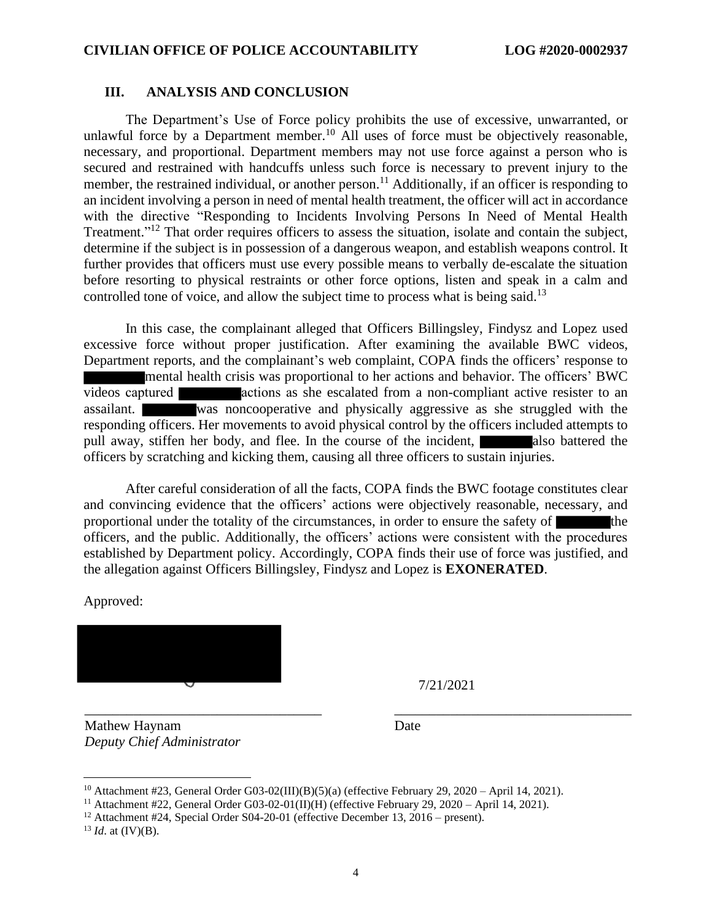#### **III. ANALYSIS AND CONCLUSION**

The Department's Use of Force policy prohibits the use of excessive, unwarranted, or unlawful force by a Department member.<sup>10</sup> All uses of force must be objectively reasonable, necessary, and proportional. Department members may not use force against a person who is secured and restrained with handcuffs unless such force is necessary to prevent injury to the member, the restrained individual, or another person.<sup>11</sup> Additionally, if an officer is responding to an incident involving a person in need of mental health treatment, the officer will act in accordance with the directive "Responding to Incidents Involving Persons In Need of Mental Health Treatment."<sup>12</sup> That order requires officers to assess the situation, isolate and contain the subject, determine if the subject is in possession of a dangerous weapon, and establish weapons control. It further provides that officers must use every possible means to verbally de-escalate the situation before resorting to physical restraints or other force options, listen and speak in a calm and controlled tone of voice, and allow the subject time to process what is being said.<sup>13</sup>

In this case, the complainant alleged that Officers Billingsley, Findysz and Lopez used excessive force without proper justification. After examining the available BWC videos, Department reports, and the complainant's web complaint, COPA finds the officers' response to mental health crisis was proportional to her actions and behavior. The officers' BWC videos captured **actions** as she escalated from a non-compliant active resister to an assailant. was noncooperative and physically aggressive as she struggled with the responding officers. Her movements to avoid physical control by the officers included attempts to pull away, stiffen her body, and flee. In the course of the incident, also battered the officers by scratching and kicking them, causing all three officers to sustain injuries.

After careful consideration of all the facts, COPA finds the BWC footage constitutes clear and convincing evidence that the officers' actions were objectively reasonable, necessary, and proportional under the totality of the circumstances, in order to ensure the safety of the officers, and the public. Additionally, the officers' actions were consistent with the procedures established by Department policy. Accordingly, COPA finds their use of force was justified, and the allegation against Officers Billingsley, Findysz and Lopez is **EXONERATED**.

Approved:



7/21/2021

Mathew Haynam *Deputy Chief Administrator* Date

\_\_\_\_\_\_\_\_\_\_\_\_\_\_\_\_\_\_\_\_\_\_\_\_\_\_\_\_\_\_\_\_\_\_ \_\_\_\_\_\_\_\_\_\_\_\_\_\_\_\_\_\_\_\_\_\_\_\_\_\_\_\_\_\_\_\_\_\_

<sup>&</sup>lt;sup>10</sup> Attachment #23, General Order G03-02(III)(B)(5)(a) (effective February 29, 2020 – April 14, 2021).

<sup>&</sup>lt;sup>11</sup> Attachment #22, General Order G03-02-01(II)(H) (effective February 29, 2020 – April 14, 2021).

<sup>&</sup>lt;sup>12</sup> Attachment #24, Special Order S04-20-01 (effective December 13, 2016 – present).

<sup>13</sup> *Id*. at (IV)(B).